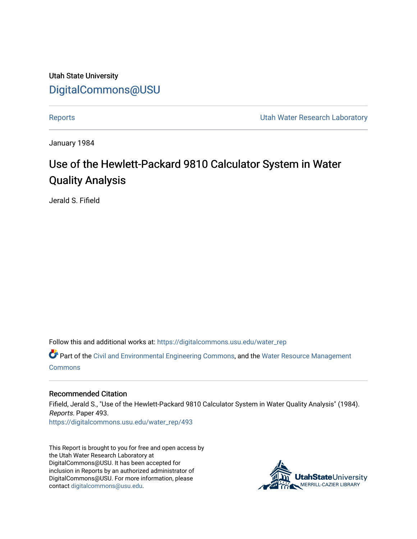Utah State University [DigitalCommons@USU](https://digitalcommons.usu.edu/)

[Reports](https://digitalcommons.usu.edu/water_rep) **National Community Community** Channel Community Utah Water Research Laboratory

January 1984

## Use of the Hewlett-Packard 9810 Calculator System in Water Quality Analysis

Jerald S. Fifield

Follow this and additional works at: [https://digitalcommons.usu.edu/water\\_rep](https://digitalcommons.usu.edu/water_rep?utm_source=digitalcommons.usu.edu%2Fwater_rep%2F493&utm_medium=PDF&utm_campaign=PDFCoverPages) 

Part of the [Civil and Environmental Engineering Commons](http://network.bepress.com/hgg/discipline/251?utm_source=digitalcommons.usu.edu%2Fwater_rep%2F493&utm_medium=PDF&utm_campaign=PDFCoverPages), and the [Water Resource Management](http://network.bepress.com/hgg/discipline/1057?utm_source=digitalcommons.usu.edu%2Fwater_rep%2F493&utm_medium=PDF&utm_campaign=PDFCoverPages) **[Commons](http://network.bepress.com/hgg/discipline/1057?utm_source=digitalcommons.usu.edu%2Fwater_rep%2F493&utm_medium=PDF&utm_campaign=PDFCoverPages)** 

#### Recommended Citation

Fifield, Jerald S., "Use of the Hewlett-Packard 9810 Calculator System in Water Quality Analysis" (1984). Reports. Paper 493. [https://digitalcommons.usu.edu/water\\_rep/493](https://digitalcommons.usu.edu/water_rep/493?utm_source=digitalcommons.usu.edu%2Fwater_rep%2F493&utm_medium=PDF&utm_campaign=PDFCoverPages)

This Report is brought to you for free and open access by the Utah Water Research Laboratory at DigitalCommons@USU. It has been accepted for inclusion in Reports by an authorized administrator of DigitalCommons@USU. For more information, please contact [digitalcommons@usu.edu](mailto:digitalcommons@usu.edu).

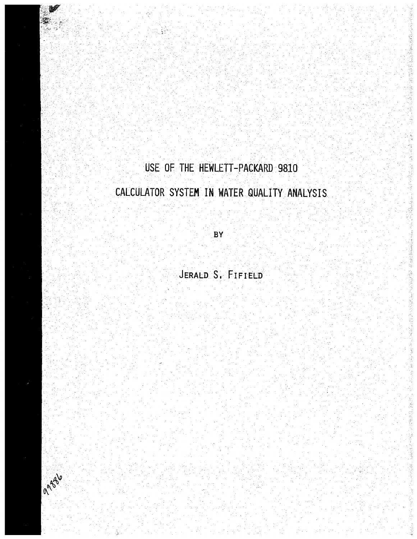## USE OF THE HEWLETT-PACKARD 9810

法受益受害受违法罪罪 法受遗嘱的 医

猛龙怪 医嗜基霉菌

医法律鼻腔支柱 医绝对杀染剂 法军

E.

的复数 地名美国戈

## CALCULATOR SYSTEM IN WATER QUALITY ANALYSIS

 $BY$ 

JERALD S. FIFIELD

Tagsle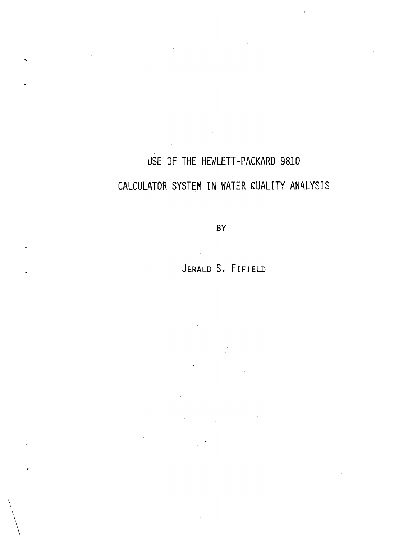# USE OF THE HEWLETT-PACKARD 9810 CALCULATOR SYSTEM IN WATER QUALITY ANALYSIS

BY

JERALD S. FIFIELD

 $\setminus$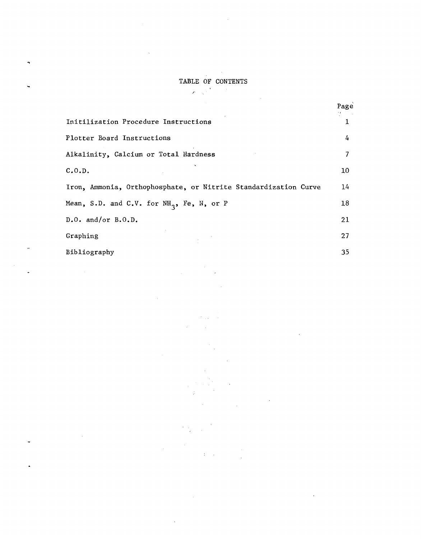#### TABLE OF CONTENTS

 $\mathcal{A}^{\pm}$ 

 $\sim 10$ 

 $\mathcal{L}=\frac{1}{2} \sum_{i=1}^{N} \frac{1}{i} \sum_{j=1}^{N} \frac{1}{j} \sum_{j=1}^{N} \frac{1}{j} \sum_{j=1}^{N} \frac{1}{j} \sum_{j=1}^{N} \frac{1}{j} \sum_{j=1}^{N} \frac{1}{j} \sum_{j=1}^{N} \frac{1}{j} \sum_{j=1}^{N} \frac{1}{j} \sum_{j=1}^{N} \frac{1}{j} \sum_{j=1}^{N} \frac{1}{j} \sum_{j=1}^{N} \frac{1}{j} \sum_{j=1}^{N} \frac{1}{j} \sum_{$ 

 $\mathbf{r}$ 

÷,

 $\ddot{\phantom{0}}$ 

L.

 $\ddot{\phantom{0}}$ 

 $\ddot{\phantom{1}}$ 

 $\sim$ 

J,

|                                                                 | Page                     |
|-----------------------------------------------------------------|--------------------------|
| Initilization Procedure Instructions                            | 1                        |
| Plotter Board Instructions                                      | 4                        |
| Alkalinity, Calcium or Total Hardness                           | $\overline{\phantom{a}}$ |
| C.0.D.                                                          | 10                       |
| Iron, Ammonia, Orthophosphate, or Nitrite Standardization Curve | 14                       |
| Mean, S.D. and C.V. for $NH_3$ , Fe, N, or P                    | 18                       |
| $D.0.$ and/or $B.0.D.$                                          | 21                       |
| Graphing                                                        | 27                       |
| Bibliography                                                    | 35                       |

 $\mathcal{F}(\mathcal{A})$  and  $\hat{\mathcal{A}}$ 

> $\hat{\boldsymbol{\beta}}$  $\hat{\boldsymbol{\epsilon}}$

> > ti<br>Li

 $\mathcal{A}^{\mathcal{A}}$  ,  $\mathcal{A}^{\mathcal{A}}$ 

 $\frac{1}{2} \frac{1}{2}$ 

 $\hat{\mathcal{A}}$ 

 $\sim$   $\sim$ 

 $\mathcal{L}_{\mathcal{A}}$ 

 $\alpha$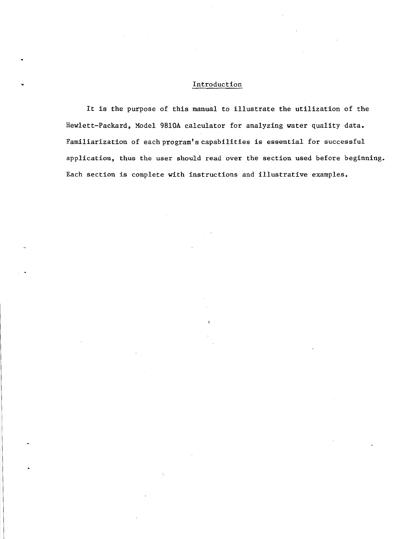#### Introduction

It is the purpose of this manual to illustrate the utilization of the Hewlett-Packard, Model 98l0A calculator for analyzing water quality data. Familiarization of each program's capabilities is essential for successful application, thus the user should read over the section used before beginning. Each section is complete with instructions and illustrative examples.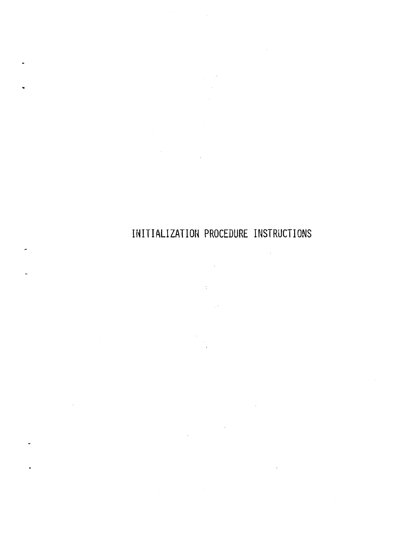INITIALIZATION PROCEDURE INSTRUCTIONS

 $\sim$ 

 $\sim$   $\lesssim$ 

 $\sim$   $\sim$ 

Ġ,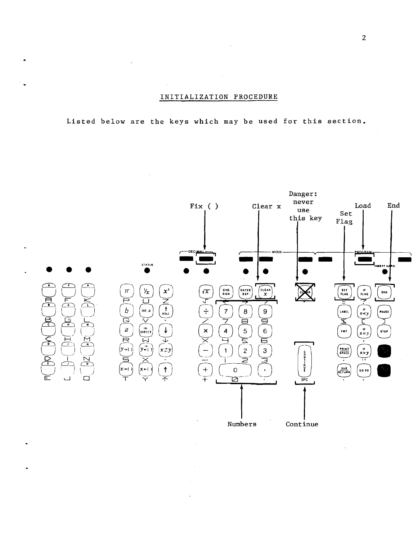#### INITIALIZATION PROCEDURE

Listed below are the keys which may be used for this section.

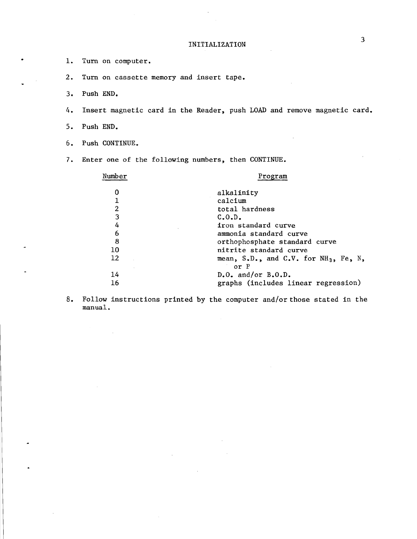- 1. Turn on computer.
- 2. Turn on cassette memory and insert tape.
- 3. Push END.
- 4. Insert magnetic card in the Reader, push LOAD and remove magnetic card.
- 5. Push END.
- 6. Push CONTINUE.
- 7. Enter one of the following numbers, then CONTINUE.

 $\Delta \sim 10^4$ 

| Number  | Program                                                   |
|---------|-----------------------------------------------------------|
|         | alkalinity                                                |
|         | calcium                                                   |
| 2       | total hardness                                            |
| 3       | C.0.D.                                                    |
| 4       | iron standard curve                                       |
| 6       | ammonia standard curve                                    |
| 8       | orthophosphate standard curve                             |
| 10      | nitrite standard curve                                    |
| $12 \,$ | mean, S.D., and C.V. for NH <sub>3</sub> , Fe, N,<br>or P |
| 14      | $D•$ O. and/or $B•$ O.D.                                  |
| 16      | graphs (includes linear regression)                       |

 $\bar{a}$ 

8. Follow instructions printed by the computer and/or those stated in the manual.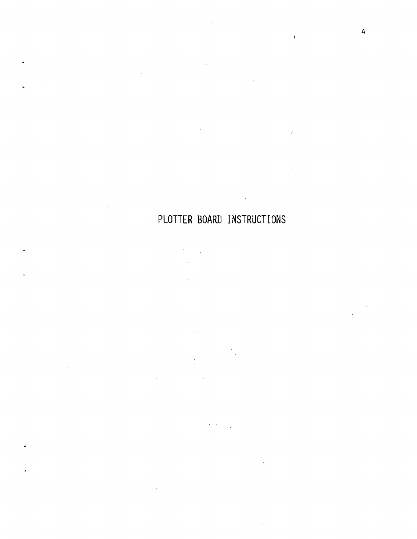## PLOTTER BOARD INSTRUCTIONS

 $\sim$   $\sim$ 

 $\lambda_{\rm{max}}$  $\mathcal{L}$  $\mathcal{L}_{\text{eff}}$  $\bar{z}$ 

 $\sim$ 

 $\bar{V}$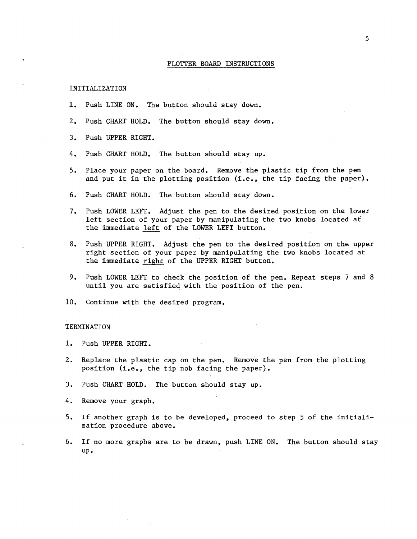#### PLOTTER BOARD INSTRUCTIONS

#### INITIALIZATION

- 1. Push LINE ON. The button should stay down.
- 2. Push CHART HOLD. The button should stay down.
- 3. Push UPPER RIGHT.
- 4. Push CHART HOLD. The button should stay up.
- 5. Place your paper on the board. Remove the plastic tip from the pen and put it in the plotting position (i.e., the tip facing the paper).
- 6. Push CHART HOLD. The button should stay down.
- 7. Push LOWER LEFT. Adjust the pen to the desired position on the lower left section of your paper by manipulating the two knobs located at the immediate left of the LOWER LEFT button.
- 8. Push UPPER RIGHT. Adjust the pen to the desired position on the upper right section of your paper by manipulating the two knobs located at the immediate right of the UPPER RIGHT button.
- 9. Push LOWER LEFT to check the position of the pen. Repeat steps 7 and 8 until you are satisfied with the position of the pen.
- 10. Continue with the desired program.

#### TERMINATION

- 1. Push UPPER RIGHT.
- 2. Replace the plastic cap on the pen. Remove the pen from the plotting position (i.e., the tip nob facing the paper).
- 3. Push CHART HOLD. The button should stay up.
- 4. Remove your graph.
- 5. If another graph is to be developed, proceed to step 5 of the initialization procedure above.
- 6. If no more graphs are to be drawn, push LINE ON. The button should stay up.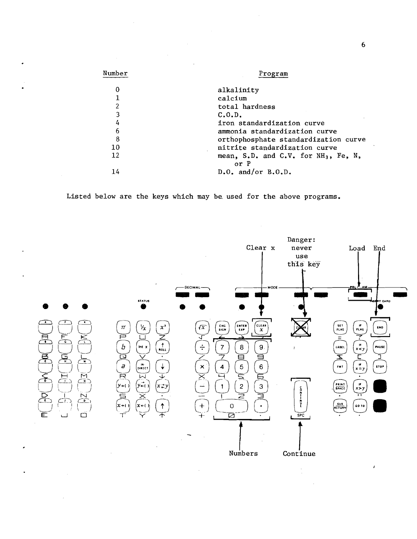| Number | Program                                                  |
|--------|----------------------------------------------------------|
| 0      | alkalinity                                               |
| 1      | calcium                                                  |
| 2      | total hardness                                           |
| 3      | C.0. D.                                                  |
| 4      | iron standardization curve                               |
| 6      | ammonia standardization curve                            |
| 8      | orthophosphate standardization curve                     |
| 10     | nitrite standardization curve                            |
| 12     | mean, S.D. and C.V. for NH <sub>3</sub> , Fe, N,<br>or P |
| 14     | $D.0.$ and/or $B.0.D.$                                   |

Listed below are the keys which may be, used for the above programs.



6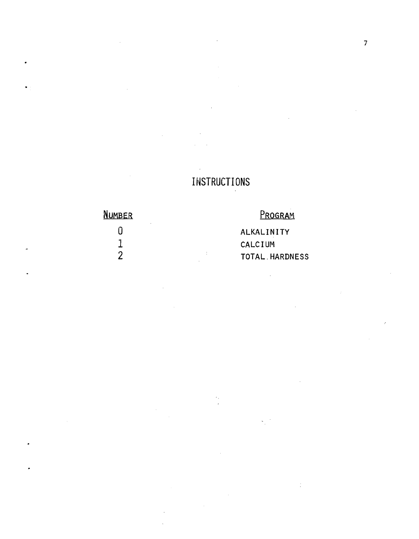## **INSTRUCTIONS**

**NUMBER** 

 $\mathbf{0}$ 

 $\frac{1}{2}$ 

PROGRAM

ALKALINITY CALCIUM TOTAL HARDNESS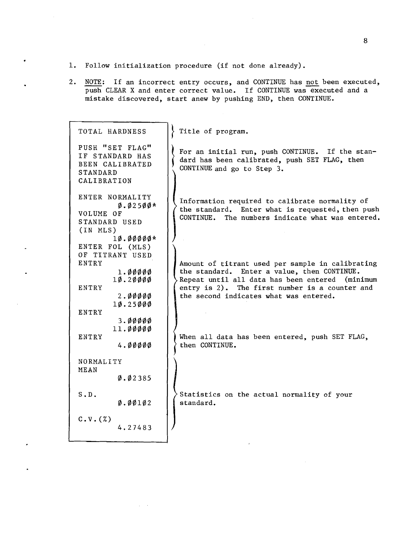- 1. Follow initialization procedure (if not done already).
- 2. NOTE: If an incorrect entry occurs, and CONTINUE has not been executed, push CLEAR X and enter correct value. If CONTINUE was executed and a mistake discovered, start anew by pushing END, then CONTINUE.

| TOTAL HARDNESS                                                                                              | Title of program.                                                                                                                                                                                                                                 |
|-------------------------------------------------------------------------------------------------------------|---------------------------------------------------------------------------------------------------------------------------------------------------------------------------------------------------------------------------------------------------|
| PUSH "SET FLAG"<br>IF STANDARD HAS<br>BEEN CALIBRATED<br><b>STANDARD</b><br>CALIBRATION                     | For an initial run, push CONTINUE. If the stan-<br>dard has been calibrated, push SET FLAG, then<br>CONTINUE and go to Step 3.                                                                                                                    |
| ENTER NORMALITY<br>$0.02500*$<br>VOLUME OF<br>STANDARD USED<br>(IN MLS)<br>$1\phi$ . $\phi\phi\phi\phi*$    | Information required to calibrate normality of<br>the standard. Enter what is requested, then push<br>CONTINUE. The numbers indicate what was entered.                                                                                            |
| ENTER FOL (MLS)<br>OF TITRANT USED<br>ENTRY<br>1.00000<br>10.20000<br>ENTRY<br>2.00000<br>10.25000<br>ENTRY | Amount of titrant used per sample in calibrating<br>the standard. Enter a value, then CONTINUE.<br>Repeat until all data has been entered<br>(minimum<br>entry is 2). The first number is a counter and<br>the second indicates what was entered. |
| 3.00000<br>11.00000<br>ENTRY<br>4.00000                                                                     | When all data has been entered, push SET FLAG,<br>then CONTINUE.                                                                                                                                                                                  |
| NORMALITY<br>MEAN<br>0.02385                                                                                |                                                                                                                                                                                                                                                   |
| S.D.<br>$\emptyset$ . $\emptyset$ $\emptyset$ 1 $\emptyset$ 2                                               | Statistics on the actual normality of your<br>standard.                                                                                                                                                                                           |
| $C.V.(\%)$<br>4.27483                                                                                       |                                                                                                                                                                                                                                                   |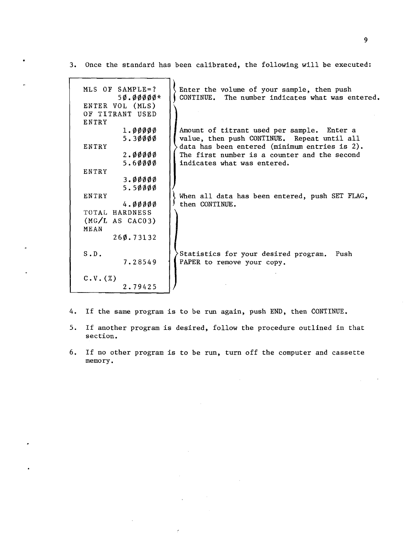3. Once the standard has been calibrated, the following will be executed:

| MLS OF SAMPLE=?<br>$50.00000*$<br>ENTER VOL (MLS) | Enter the volume of your sample, then push<br>CONTINUE. The number indicates what was entered. |
|---------------------------------------------------|------------------------------------------------------------------------------------------------|
| OF TITRANT USED                                   |                                                                                                |
| ENTRY                                             |                                                                                                |
|                                                   |                                                                                                |
| 1.00000                                           | Amount of titrant used per sample. Enter a                                                     |
| 5.30000                                           | value, then push CONTINUE. Repeat until all                                                    |
| ENTRY                                             | data has been entered (minimum entries is 2).                                                  |
| 2.00000                                           | The first number is a counter and the second                                                   |
| 5.60000                                           | indicates what was entered.                                                                    |
| ENTRY                                             |                                                                                                |
|                                                   |                                                                                                |
| 3.00000                                           |                                                                                                |
| 5.50000                                           |                                                                                                |
| ENTRY                                             | When all data has been entered, push SET FLAG,                                                 |
| 4.00000                                           | then CONTINUE.                                                                                 |
| TOTAL HARDNESS                                    |                                                                                                |
| (MG/L AS CAC03)                                   |                                                                                                |
| MEAN                                              |                                                                                                |
|                                                   |                                                                                                |
| 260.73132                                         |                                                                                                |
|                                                   |                                                                                                |
| S.D.                                              | Statistics for your desired program.<br>Push                                                   |
| 7.28549                                           | PAPER to remove your copy.                                                                     |
|                                                   |                                                                                                |
| $C.V.$ $(\%)$                                     |                                                                                                |
|                                                   |                                                                                                |
| 2.79425                                           |                                                                                                |

- 4. If the same program is to be run again, push END, then CONTINUE.
- 5. If another program is desired, follow the procedure outlined in that section.
- 6. If no other program is to be run, turn off the computer and cassette memory.

 $\overline{a}$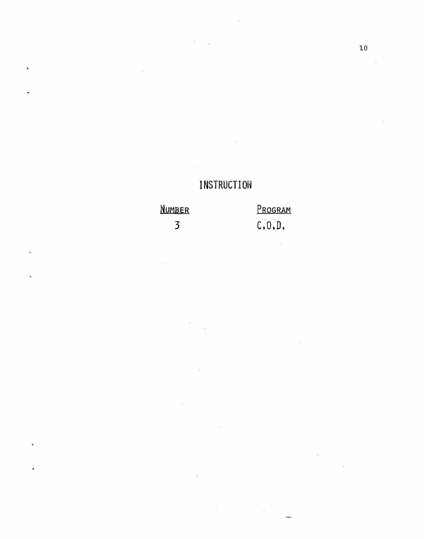## **INSTRUCTION**

 $\overline{\mathcal{A}}$ 

 $\overline{\phantom{a}}$ 

#### Program NUMBER  $C, 0, D,$  $\overline{3}$

 $\ddot{\phantom{a}}$ 

.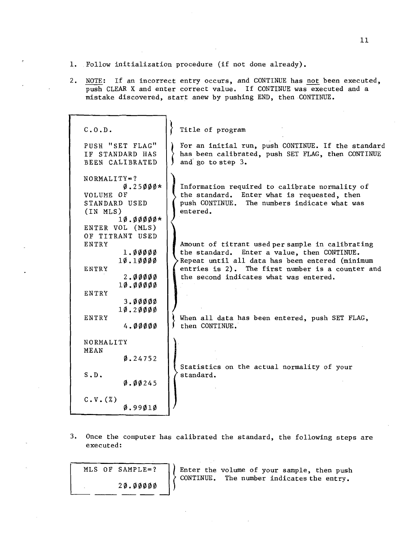- 1. Follow initialization procedure (if not done already).
- 2. NOTE: If an incorrect entry occurs, and CONTINUE has not been executed, push CLEAR X and enter correct value. If CONTINUE was executed and a mistake discovered, start anew by pushing END, then CONTINUE.

| C.0. D.                                                                                                                                                                                                           | Title of program                                                                                                                                                                                                                                 |
|-------------------------------------------------------------------------------------------------------------------------------------------------------------------------------------------------------------------|--------------------------------------------------------------------------------------------------------------------------------------------------------------------------------------------------------------------------------------------------|
| PUSH "SET FLAG"<br>IF STANDARD HAS<br>BEEN CALIBRATED                                                                                                                                                             | For an initial run, push CONTINUE. If the standard<br>has been calibrated, push SET FLAG, then CONTINUE<br>and go to step 3.                                                                                                                     |
| $NORMALITY = ?$<br>$\varnothing$ .25 $\varnothing$ $\varnothing$ $\varnothing$ *<br>VOLUME OF<br>STANDARD USED<br>(IN MLS)<br>$1\emptyset$ . $\emptyset$ $\emptyset$ $\emptyset$ $\emptyset$ *<br>ENTER VOL (MLS) | Information required to calibrate normality of<br>the standard. Enter what is requested, then<br>push CONTINUE. The numbers indicate what was<br>entered.                                                                                        |
| OF TITRANT USED<br>ENTRY<br>1.00000<br>10.10000<br>ENTRY<br>2.00000<br>10.00000<br>ENTRY                                                                                                                          | Amount of titrant used per sample in calibrating<br>the standard. Enter a value, then CONTINUE.<br>Repeat until all data has been entered (minimum<br>entries is 2). The first number is a counter and<br>the second indicates what was entered. |
| 3.00000<br>10.20000<br><b>ENTRY</b><br>4.00000                                                                                                                                                                    | When all data has been entered, push SET FLAG,<br>then CONTINUE.                                                                                                                                                                                 |
| NORMALITY<br>MEAN<br>0.24752                                                                                                                                                                                      | Statistics on the actual normality of your                                                                                                                                                                                                       |
| S.D.<br>0.00245                                                                                                                                                                                                   | standard.                                                                                                                                                                                                                                        |
| $C.V.$ $(X)$<br>$\emptyset.9901\emptyset$                                                                                                                                                                         |                                                                                                                                                                                                                                                  |

3. Once the computer has calibrated the standard, the following steps are executed:

MLS OF SAMPLE=? 20.00000

 $\left\{\begin{array}{ll} \text{Enter the} \\ \text{CONTINUE.} \end{array}\right.$ volume of your sample, then push CONTINUE. The number indicates the entry.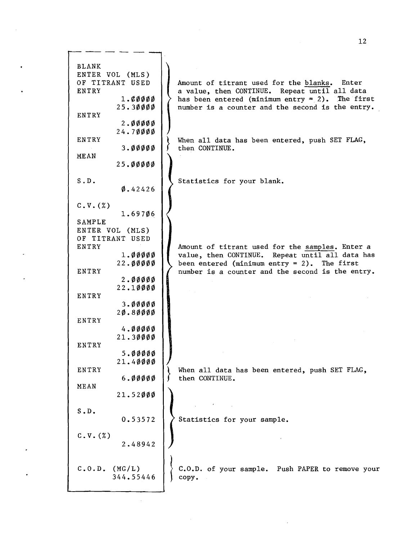|                 | $12 \overline{ }$                                  |
|-----------------|----------------------------------------------------|
|                 |                                                    |
|                 |                                                    |
| <b>BLANK</b>    |                                                    |
| ENTER VOL (MLS) |                                                    |
| OF TITRANT USED | Amount of titrant used for the blanks.<br>Enter    |
| ENTRY           | a value, then CONTINUE. Repeat until all data      |
| 1.00000         | has been entered (minimum entry = $2$ ). The first |
| 25.30000        | number is a counter and the second is the entry.   |
| ENTRY           |                                                    |
| 2.00000         |                                                    |
| 24.70000        |                                                    |
| ENTRY           | When all data has been entered, push SET FLAG,     |
| 3.00000         | then CONTINUE.                                     |
| MEAN            |                                                    |
| 25.00000        |                                                    |
|                 |                                                    |
| S.D.            | Statistics for your blank.                         |
| 0.42426         |                                                    |
|                 |                                                    |
| C.V. (%)        |                                                    |
| 1.69706         |                                                    |
| <b>SAMPLE</b>   |                                                    |
| ENTER VOL (MLS) |                                                    |
| OF TITRANT USED |                                                    |
| ENTRY           | Amount of titrant used for the samples. Enter a    |
| 1.00000         | value, then CONTINUE. Repeat until all data has    |
| 22.00000        | been entered (minimum entry = $2$ ). The first     |
| ENTRY           | number is a counter and the second is the entry.   |
| 2.00000         |                                                    |
| 22.10000        |                                                    |
| ENTRY           |                                                    |
| 3.00000         |                                                    |
| 20.80000        |                                                    |
| ENTRY           |                                                    |
| 4.00000         |                                                    |
| 21.30000        |                                                    |
| ENTRY           |                                                    |
| 5.00000         |                                                    |
| 21.40000        |                                                    |
| ENTRY           | When all data has been entered, push SET FLAG,     |
| 6.00000         | then CONTINUE.                                     |
| MEAN            |                                                    |
| 21.52000        |                                                    |
|                 |                                                    |
| $S$ . $D$ .     |                                                    |
| 0.53572         | Statistics for your sample.                        |
|                 |                                                    |
| C.V. (%)        |                                                    |
| 2.48942         |                                                    |
|                 |                                                    |
|                 |                                                    |
| C.0.D. (MG/L)   | C.O.D. of your sample. Push PAPER to remove your   |
| 344.55446       | copy.                                              |
|                 |                                                    |
|                 |                                                    |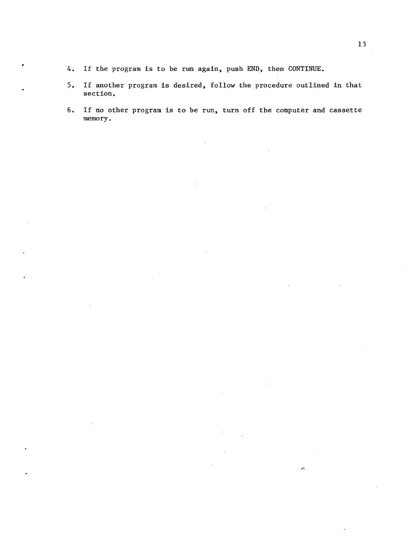- 4. If the program is to be run again, push END, then CONTINUE.
- 5. If another program is desired, follow the procedure outlined in that section.
- 6. If no other program is to be run, turn off the computer and cassette memory.

 $\mathcal{C}_\mathcal{C}$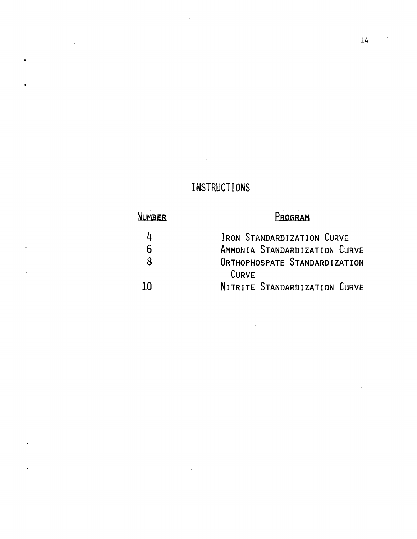## INSTRUCTIONS

## NUMBER

 $\ddot{\phantom{a}}$ 

## PROGRAM

| 4    | IRON STANDARDIZATION CURVE    |
|------|-------------------------------|
| 6    | AMMONIA STANDARDIZATION CURVE |
| 8    | ORTHOPHOSPATE STANDARDIZATION |
|      | CURVE                         |
| ่ 10 | NITRITE STANDARDIZATION CURVE |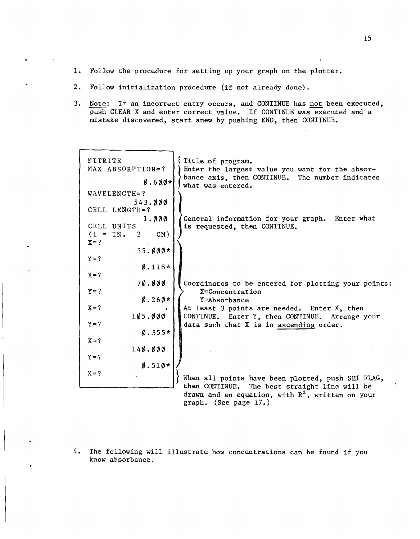- 1. Follow the procedure for setting up your graph on the plotter.
- 2. Follow initialization procedure (if not already done).
- 3. Note: If an incorrect entry occurs, and CONTINUE has not been executed, push CLEAR X and enter correct value. If CONTINUE was executed and a mistake discovered, start anew by pushing END, then CONTINUE.

| NITRITE                           | Title of program.                                                                                  |
|-----------------------------------|----------------------------------------------------------------------------------------------------|
| MAX ABSORPTION=?                  | Enter the largest value you want for the absor-                                                    |
| $\emptyset$ .600*                 | bance axis, then CONTINUE. The number indicates<br>what was entered.                               |
| WAVELENGTH=?                      |                                                                                                    |
| 543.000                           |                                                                                                    |
| CELL LENGTH=?                     |                                                                                                    |
| 1.000                             | General information for your graph. Enter what                                                     |
| CELL UNITS                        | is requested, then CONTINUE.                                                                       |
| $(1 = IN. 2)$<br>CM)<br>$X = ?$   |                                                                                                    |
| $35.000*$                         |                                                                                                    |
| $Y = ?$                           |                                                                                                    |
| $0.118*$                          |                                                                                                    |
| $X = ?$                           |                                                                                                    |
| 70.000                            | Coordinates to be entered for plotting your points:                                                |
| $Y = ?$                           | X=Concentration                                                                                    |
| $\varnothing$ .26 $\varnothing$ * | Y=Absorbance                                                                                       |
| $X = ?$                           | At least 3 points are needed. Enter X, then                                                        |
| 105.000                           | CONTINUE. Enter Y, then CONTINUE. Arrange your                                                     |
| $Y = ?$<br>$0.355*$               | data such that X is in ascending order.                                                            |
| $X = ?$                           |                                                                                                    |
| $14\phi$ . $\phi\phi$             |                                                                                                    |
| $Y = ?$                           |                                                                                                    |
| $\emptyset$ .51 $\emptyset$ *     |                                                                                                    |
| $X = ?$                           |                                                                                                    |
|                                   | When all points have been plotted, push SET FLAG,<br>then CONTINUE. The best straight line will be |
|                                   | drawn and an equation, with $R^2$ , written on your                                                |
|                                   | graph. (See page 17.)                                                                              |

4. The following will illustrate how concentrations can be found if you know absorbance.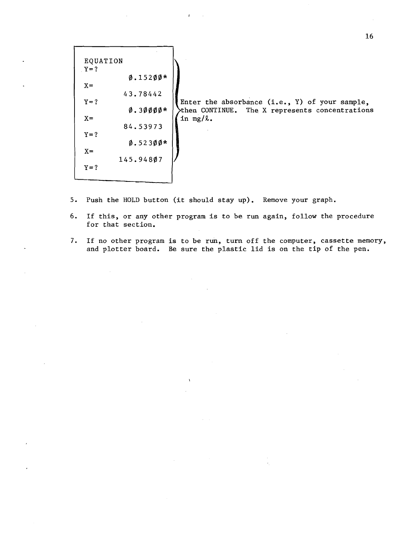EQUATION  $Y=?$ 0.15200\*  $X =$ 43.78442  $Y=?$ 0.30000\*  $X =$ 84.53973  $Y = ?$ 0.52300\*  $X =$ *145.948071*   $Y=?$ 

Enter the absorbance (i.e., Y) of your sample, then CONTINUE. The X represents concentrations in  $mg/l$ .

- 5. Push the HOLD button (it should stay up). Remove your graph.
- 6. If this, or any other program is to be run again, follow the procedure for that section.
- 7. If no other program is to be run, turn off the computer, cassette memory, and plotter board. Be sure the plastic lid is on the tip of the pen.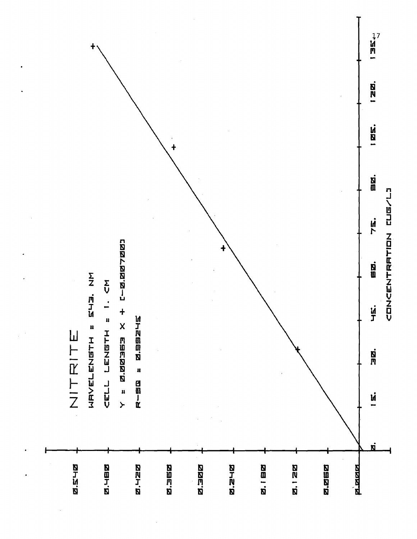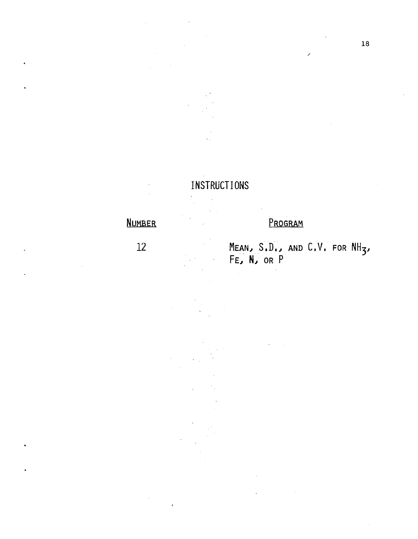## INSTRUCTIONS

## NUMBER

12

# PROGRAM

MEAN, S.D., AND C.V. FOR NH<sub>3</sub>, FE~ N~ OR P

/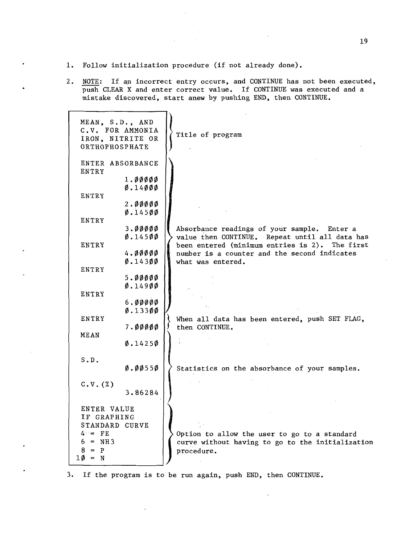- 1. Follow initialization procedure (if not already done).
- 2. NOTE: If an incorrect entry occurs, and CONTINUE has not been executed, push CLEAR X and enter correct value. If CONTINUE was executed and a mistake discovered, start anew by pushing END, then CONTINUE.

| MEAN, S.D., AND<br>C.V. FOR AMMONIA<br>IRON, NITRITE OR<br>ORTHOPHOSPHATE |                                                        | Title of program                                                                                                                                |
|---------------------------------------------------------------------------|--------------------------------------------------------|-------------------------------------------------------------------------------------------------------------------------------------------------|
| ENTER ABSORBANCE<br>ENTRY                                                 | 1.00000                                                |                                                                                                                                                 |
| ENTRY                                                                     | $\emptyset$ .14 $\emptyset$ $\emptyset$ $\emptyset$    |                                                                                                                                                 |
| ENTRY                                                                     | 2.00000<br>$\emptyset$ .14500                          |                                                                                                                                                 |
| ENTRY                                                                     | 3.00000<br>0.14500                                     | Absorbance readings of your sample. Enter a<br>value then CONTINUE. Repeat until all data has<br>been entered (minimum entries is 2). The first |
| ENTRY                                                                     | 4.00000<br>$\emptyset$ .143 $\emptyset$ $\emptyset$    | number is a counter and the second indicates<br>what was entered.                                                                               |
| ENTRY                                                                     | 5.00000<br>0.14900                                     |                                                                                                                                                 |
|                                                                           | 6.00000<br>$\varnothing$ .133 $\varnothing\varnothing$ |                                                                                                                                                 |
| ENTRY<br>MEAN                                                             | 7.00000                                                | When all data has been entered, push SET FLAG,<br>then CONTINUE.                                                                                |
| S.D.                                                                      | 0.14250                                                |                                                                                                                                                 |
| $C.V.$ $(X)$                                                              | Ø.ØØ55Ø                                                | Statistics on the absorbance of your samples.                                                                                                   |
| ENTER VALUE                                                               | 3.86284                                                |                                                                                                                                                 |
| IF GRAPHING<br>STANDARD CURVE                                             |                                                        |                                                                                                                                                 |
| $4 -$ FE<br>$6 = NH3$<br>$8 = P$<br>10 = N                                |                                                        | Option to allow the user to go to a standard<br>curve without having to go to the initialization<br>procedure.                                  |

3. If the program is to be run again, push END, then CONTINUE.

 $\lambda$ 

19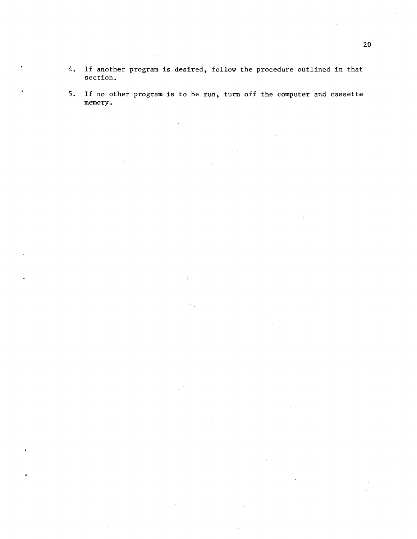- 4. If another program is desired, follow the procedure outlined in that section.
- 5. If no other program is to be run, turn off the computer and cassette memory.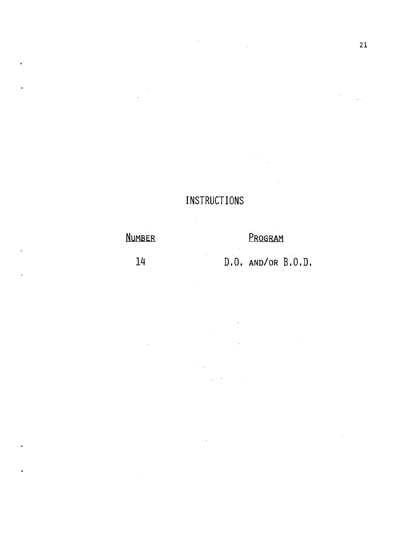#### INSTRUCTIONS

 $\bar{\lambda}$ 

## NUMBER PROGRAM

14 D.O. AND/OR B.O.D.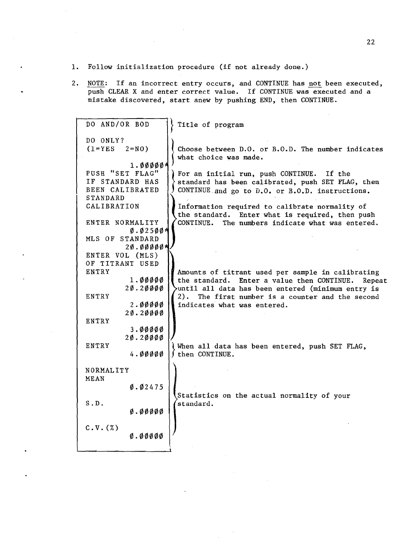- 1. Follow initialization procedure (if not already done.)
- 2. NOTE: If an incorrect entry occurs, and CONTINUE has not been executed, push CLEAR X and enter correct value. If CONTINUE was executed and a mistake discovered, start anew by pushing END, then CONTINUE.

| DO AND/OR BOD        | Title of program                                        |
|----------------------|---------------------------------------------------------|
| DO ONLY?             |                                                         |
| $(1 = YES \t2 = N0)$ | Choose between D.O. or B.O.D. The number indicates      |
|                      | what choice was made.                                   |
| $1.00000*$           |                                                         |
| PUSH "SET FLAG"      | For an initial run, push CONTINUE. If the               |
| IF STANDARD HAS      | standard has been calibrated, push SET FLAG, then       |
| BEEN CALIBRATED      | CONTINUE and go to D.O. or B.O.D. instructions.         |
| STANDARD             |                                                         |
| CALIBRATION          | Information required to calibrate normality of          |
|                      | the standard. Enter what is required, then push         |
| ENTER NORMALITY      | The numbers indicate what was entered.<br>CONTINUE.     |
| 0.025004             |                                                         |
| MLS OF STANDARD      |                                                         |
| 20.000004            |                                                         |
| ENTER VOL (MLS)      |                                                         |
| OF TITRANT USED      |                                                         |
| ENTRY                | Amounts of titrant used per sample in calibrating       |
| 1.00000              | the standard. Enter a value then CONTINUE. Repeat       |
| 20.20000             | until all data has been entered (minimum entry is       |
| ENTRY                | 2). The first number is a counter and the second        |
| 2.00000              | indicates what was entered.                             |
| 20.20000             |                                                         |
| ENTRY                |                                                         |
| 3.00000              |                                                         |
| 20.20000             |                                                         |
| ENTRY                | When all data has been entered, push SET FLAG,          |
| 4.00000              | then CONTINUE.                                          |
| NORMALITY            |                                                         |
| <b>MEAN</b>          |                                                         |
| 0.02475              |                                                         |
|                      |                                                         |
| S.D.                 | Statistics on the actual normality of your<br>standard. |
| Q. QQQQ              |                                                         |
|                      |                                                         |
| $C.V.$ $(X)$         |                                                         |
| 0.00000              |                                                         |
|                      |                                                         |
|                      |                                                         |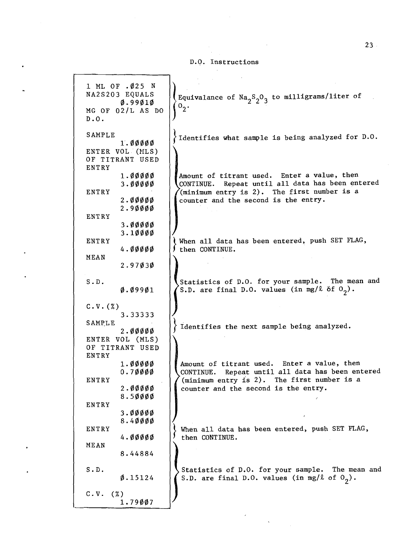|  | D.Q. Instructions |
|--|-------------------|
|--|-------------------|

1 ML OF .025 N NA2S203 EQUALS Equivalance of  $\text{Na}_2\text{S}_2\text{O}_3$  to milligrams/liter of 0.99010  $0^2$ . MG OF 02/L AS DO D.O. SAMPLE Identifies what sample is being analyzed for D.O. 1.00000 ENTER VOL. (MLS) OF TITRANT USED ENTRY 1. 00000 Amount of titrant used. Enter a value, then CONTINUE. Repeat until all data has been entered 3.00000 (minimum entry is 2). The first number is a ENTRY counter and the second is the entry. 2.00000 2.90000 ENTRY 3.00000 3.10000 I When all data has been entered, push SET FLAG, ENTRY 4.00000 then CONTINUE. MEAN \ 2.97030 I Statistics of D.O. for your sample. The mean and S. D. S.D. are final D.O. values (in mg/ $\ell$  of  $O_2$ ). 0.09901  $C.V.$  $(X)$ 3.33333 / SAMP,LE Identifies the next sample being analyzed. 2.00000 " ENTER VOL (MLS) OF TITRANT USED ENTRY Amount of titrant used. Enter a value, then 1.00000 0.70000 CONTINUE. Repeat until all data has been entered ENTRY (minimum entry is 2). The first number is a 2.00000 counter and the second is the entry. 8.50000 ENTRY 3.00000 8.40000 !} When all data has been entered, push SET FLAG, ENTRY 4.00000 then CONTINUE. MEAN \ 8.44884 Statistics of D.O. for your sample. The mean and S. D. S.D. are final D.O. values (in mg/ $\ell$  of  $O_2$ ). 0.15124 C.V. (%) 1. 79007 /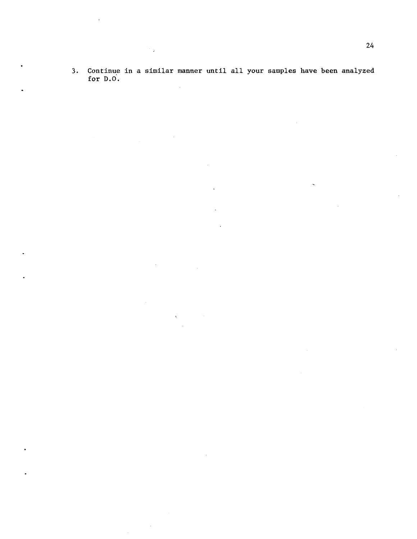3. Continue in a similar manner until all your samples have been analyzed for D.O.  $\mathcal{A}^{\mathcal{A}}$ 

 $\mathcal{L}$ 

 $\mathcal{A}_{\mathbf{z}}$ 

 $\bar{z}$ 

 $\overline{\phantom{a}}$ 

 $\bar{z}$ 

 $\bar{\psi}$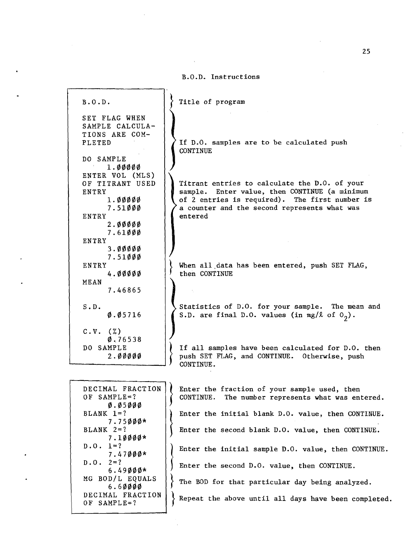#### B.O.D~ Instructions

Title of program

SET FLAG WHEN SAMPLE CALCULA-TIONS ARE COM-PLETED

B.O.D.

DO SAMPLE 1.00000 ENTER VOL (MLS) OF TITRANT USED ENTRY 1.00000 7.51000 ENTRY 2.00000 7.61000 ENTRY 3.00000 7.51000 ENTRY 4.00000 MEAN 7.46865 S.D. 0.05716  $C.V.$   $(\%)$ 0.,76538 DO SAMPLE  $2.00000$ 

If D.O. samples are to be calculated push **CONTINUE** 

Titrant entries to calculate the D.O. of your sample. Enter value, then CONTINUE (a minimum of 2 entries is required). The first number is a counter and the second represents what was entered

When all data has been entered, push SET FLAG, then CONTINUE

Statistics of D.O. for your sample. The mean and S.D. are final D.O. values (in  $mg/\ell$  of  $0_2$ ).

If all samples have been calculated for D.O. then push SET FLAG, and CONTINUE. Otherwise, push CONTINUE.

| DECIMAL FRACTION<br><b>OF SAMPLE=?</b><br>0.05000 | Enter the f<br>CONTINUE. |
|---------------------------------------------------|--------------------------|
| $BLANK 1=?$<br>$7.75000*$                         | Enter the i              |
| BLANK $2=?$<br>$7.10000*$                         | Enter the s              |
| $D.0.1=?$<br>$7.47000*$                           | Enter the i              |
| $D.0.2=?$<br>$6.49000*$                           | Enter the s              |
| MG BOD/L EQUALS<br>6.60000                        | The BOD for              |
| DECIMAL FRACTION<br>OF SAMPLE=?                   | Repeat the               |
|                                                   |                          |

raction of your sample used, then The number represents what was entered. nitial blank D.O. value, then CONTINUE. econd blank D.O. value, then CONTINUE. nitial sample D.O. value, then CONTINUE. econd D.O. value, then CONTINUE. that particular day being analyzed. above until all days have been completed.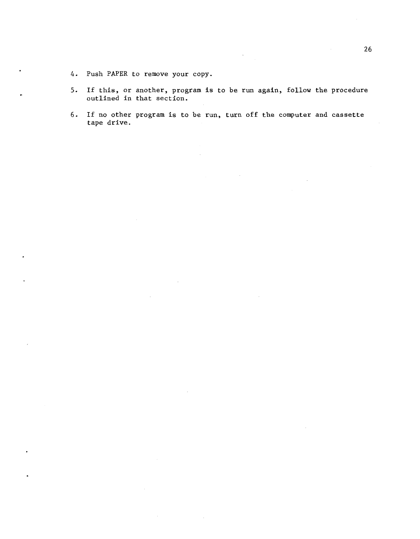- 4. Push PAPER to remove your copy.
- 5. If this, or another, program is to be run again, follow the procedure outlined in that section.
- 6. If no other program is to be run, turn off the computer and cassette tape drive.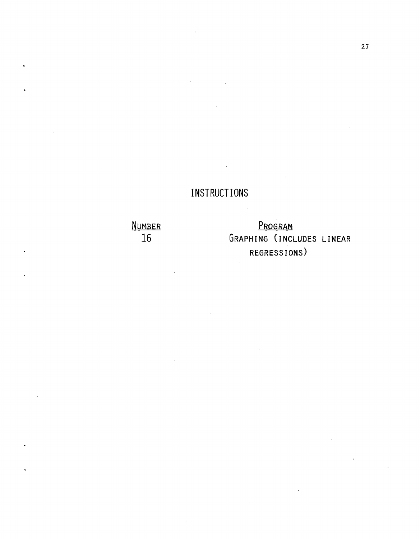## **INSTRUCTIONS**

**NUMBER 16** 

**PROGRAM GRAPHING (INCLUDES LINEAR REGRESSIONS)**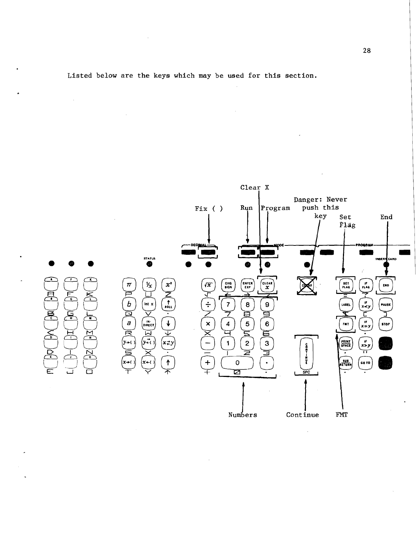

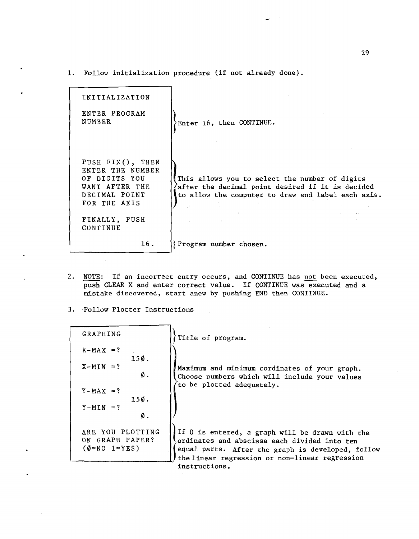1. Follow initialization procedure (if not already done).

| INITIALIZATION                                                                                           |                                                                                                                                                                                                                                                                                                                                                                                                        |
|----------------------------------------------------------------------------------------------------------|--------------------------------------------------------------------------------------------------------------------------------------------------------------------------------------------------------------------------------------------------------------------------------------------------------------------------------------------------------------------------------------------------------|
| ENTER PROGRAM<br>NUMBER                                                                                  | Enter 16, then CONTINUE.                                                                                                                                                                                                                                                                                                                                                                               |
| PUSH FIX(), THEN<br>ENTER THE NUMBER<br>OF DIGITS YOU<br>WANT AFTER THE<br>DECIMAL POINT<br>FOR THE AXIS | This allows you to select the number of digits<br>after the decimal point desired if it is decided<br>to allow the computer to draw and label each axis.<br>$\label{eq:2.1} \mathcal{L}^{\mathcal{A}}_{\mathcal{A}}(\mathcal{A}) = \mathcal{L}^{\mathcal{A}}_{\mathcal{A}}(\mathcal{A}) = \mathcal{L}^{\mathcal{A}}_{\mathcal{A}}(\mathcal{A}) = \mathcal{L}^{\mathcal{A}}_{\mathcal{A}}(\mathcal{A})$ |
| FINALLY, PUSH<br>CONTINUE                                                                                | <b>Contract Contract Contract</b><br>and the control of the control of                                                                                                                                                                                                                                                                                                                                 |
| 16.                                                                                                      | Program number chosen.                                                                                                                                                                                                                                                                                                                                                                                 |

- 2. NOTE: If an incorrect entry occurs, and CONTINUE has not been executed, push CLEAR X and enter correct value. If CONTINUE was executed and a mistake discovered, start anew by pushing END then CONTINUE.
- 3. Follow Plotter Instructions

| GRAPHING                                                            | Title of program.                                                                                                                                                                                      |
|---------------------------------------------------------------------|--------------------------------------------------------------------------------------------------------------------------------------------------------------------------------------------------------|
| $X-MAX = ?$<br>150.                                                 |                                                                                                                                                                                                        |
| $X-MIN = ?$<br>Ø.                                                   | Maximum and minimum cordinates of your graph.<br>Choose numbers which will include your values                                                                                                         |
| $Y-MAX = ?$<br>150.                                                 | to be plotted adequately.                                                                                                                                                                              |
| $Y-MIN = ?$<br>Ø.                                                   |                                                                                                                                                                                                        |
| ARE YOU PLOTTING<br>ON GRAPH PAPER?<br>$(\emptyset = NO \ 1 = YES)$ | If 0 is entered, a graph will be drawn with the<br>ordinates and abscissa each divided into ten<br>equal parts. After the graph is developed, follow<br>the linear regression or non-linear regression |
|                                                                     | instructions.                                                                                                                                                                                          |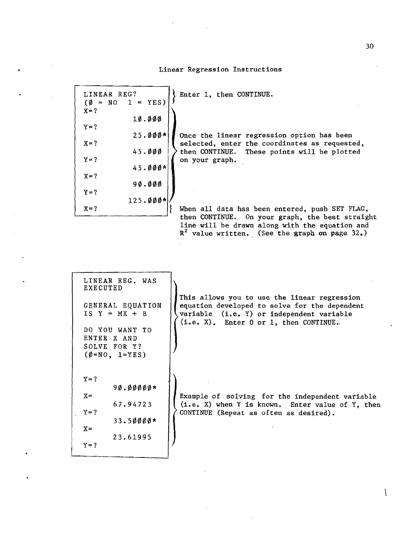#### Linear Regression Instructions

Enter 1, then CONTINUE.

| LINEAR REG?        | $(\emptyset = NO 1 = YES)$ |  |
|--------------------|----------------------------|--|
| $X = ?$            | 10.000                     |  |
| $Y = ?$            | $25.000*$                  |  |
| $X = ?$<br>$Y = ?$ | 45.000                     |  |
| $X = ?$            | $45.000*$                  |  |
| $Y = ?$            | 9 <b>ø.øøø</b>             |  |
| $X = ?$            | $125.000*$                 |  |
|                    |                            |  |

Once the linear regression option has been selected, enter the coordinates as requested, then CONTINUE. These points will be plotted on your graph.

When all data has been entered, push SET FLAG, then CONTINUE. On your graph, the best straight line will be drawn along with the equation and  $R^2$  value written. (See the graph on page 32.)

| LINEAR REG. WAS<br>EXECUTED |  |
|-----------------------------|--|
| GENERAL EQUATION            |  |
| $IS Y = MX + B$             |  |
| DO YOU WANT TO              |  |
| ENTER X AND<br>SOLVE FOR Y? |  |
| $(\emptyset = NO, 1=YES)$   |  |
|                             |  |
| $Y = ?$                     |  |
| 9 <b>ø.</b> øøøøø*<br>$X =$ |  |
| 67.94723<br>$Y = ?$         |  |
| $33.50000*$                 |  |
| $X =$<br>23.61995           |  |
| $Y = ?$                     |  |

This allows you to use the linear regression equation developed to solve for the dependent variable (i.e. Y) or independent variable (Le. X). Enter 0 or 1, then CONTINUE.,

Example of solving for the independent variable (i.e. X) when Y is known. Enter value of Y, then CONTINUE (Repeat as often as desired).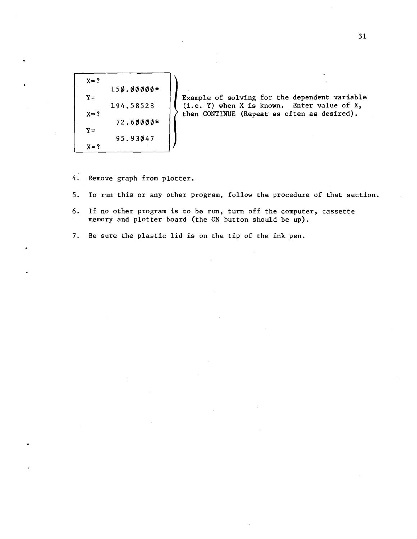$X=?$ 150.00000\*  $Y =$  $X = ?$ 194.58528 72.60000\*  $Y =$ 95.93047  $X = ?$ 

Example of solving for the dependent variable (i.e. Y) when X is known. Enter value of X, then CONTINUE (Repeat as often as desired).

- 4. Remove graph from plotter.
- 5. To run this or any other program, follow the procedure of that section.
- 6. If no other program is to be run, turn off the computer, cassette memory and plotter board (the ON button should be up).
- 7. Be sure the plastic lid is on the tip of the ink pen.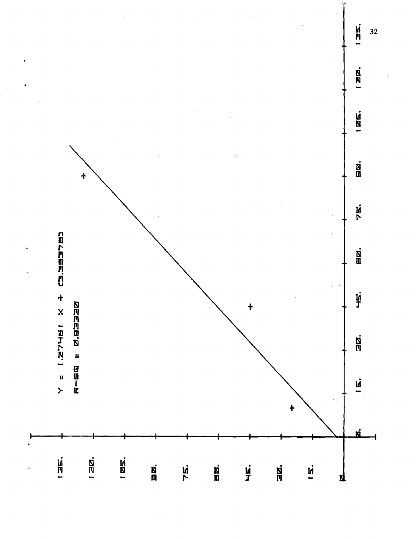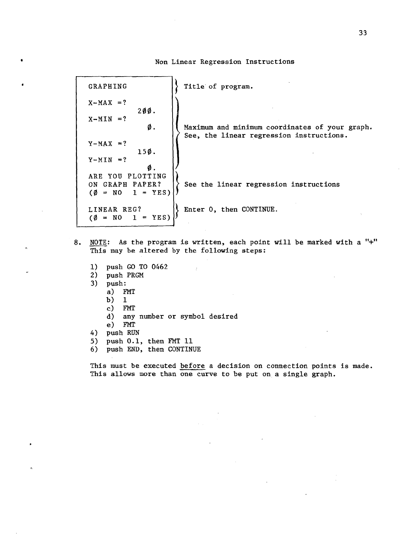GRAPHING  $\{\}$  Title of program.  $X-MAX = ?$ 200.  $X-MIN = ?$  $\emptyset$ .  $\parallel$  Maximum and minimum coordinates of your graph.  $Y-MAX = ?$ 150.  $Y-MIN = ?$  $\emptyset$  . ARE YOU PLOTTING ON GRAPH PAPER?  $(\emptyset = NO 1 = YES)$ See, the linear regression instructions. See the linear regression instructions LINEAR REG? | | Enter 0, then CONTINUE.  $(\emptyset = NO I = YES)$ 

Non Linear Regression Instructions

- 8. NOTE: As the program is written, each point will be marked with a "+" This may be altered by the following steps:
	- 1) push GO .TO 0462
	- 2) push PRGM<br>3) push:
	- push:
		- a) FMT
		- b) 1
		- c) FMT
		- d) any number or symbol desired
		- e) FMT
	- 4) push RUN
	- 5) push 0.1, then FMT 11
	- 6) push END, then CONTINUE

This must be executed before a decision on connection points is made. This allows more than one curve to be put on a single graph.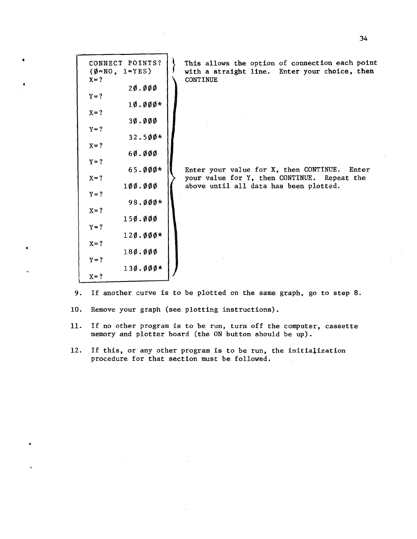| CONNECT POINTS?<br>$(\emptyset = NO, 1=YES)$ | This allows the option of connection each point<br>with a straight line. Enter your choice, then |
|----------------------------------------------|--------------------------------------------------------------------------------------------------|
| $X = ?$<br>20.000                            | <b>CONTINUE</b>                                                                                  |
| $Y = ?$<br>$10.000*$                         |                                                                                                  |
| $X = ?$<br>30.000                            |                                                                                                  |
| $Y = ?$<br>$32.500*$                         |                                                                                                  |
| $X = ?$<br>60.000                            |                                                                                                  |
| $Y = ?$<br>$65.000*$<br>$X = ?$              | Enter your value for X, then CONTINUE. Enter<br>your value for Y, then CONTINUE. Repeat the      |
| 100.000<br>$Y = ?$                           | above until all data has been plotted.                                                           |
| $98.000*$<br>$X = ?$                         |                                                                                                  |
| 150.000<br>$Y = ?$                           |                                                                                                  |
| $120.000*$<br>$X = ?$                        |                                                                                                  |
| $18\phi$ . $\phi\phi\phi$<br>$Y = ?$         |                                                                                                  |
| $130.000*$<br>$X = ?$                        |                                                                                                  |

- 9. If another curve is to be plotted on the same graph. go to step 8.
- 10. Remove your graph (see plotting instructions).

•

- 11. If no other program is to be run, turn off the computer, cassette memory and plotter board (the ON button should be up).
- 12. If this, or any other program is to be run, the initialization procedure for that section must be followed.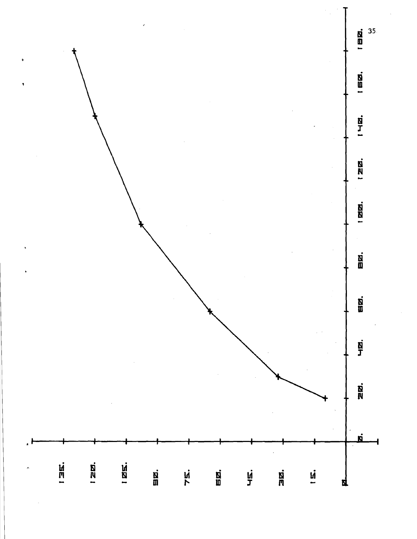